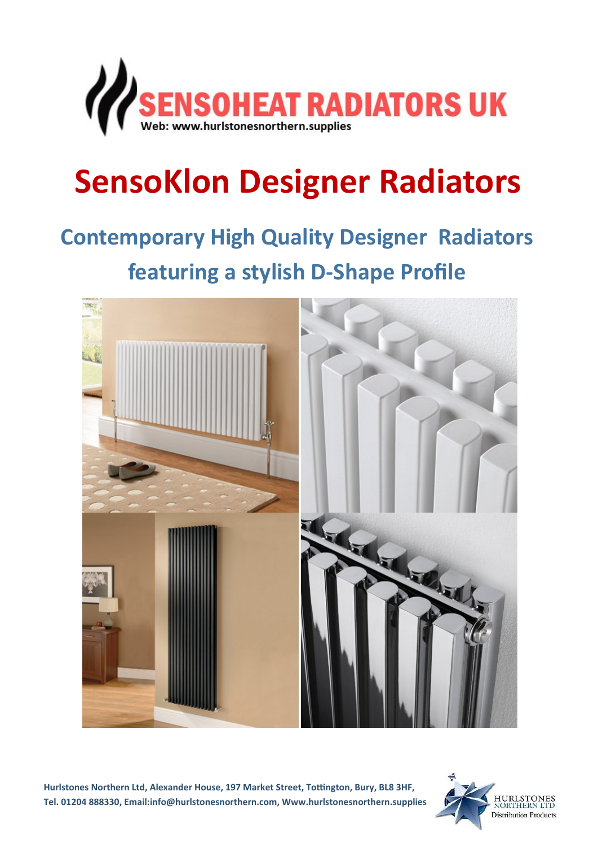

# **SensoKlon Designer Radiators**

## **Contemporary High Quality Designer Radiators featuring a stylish D-Shape Profile**



**Hurlstones Northern Ltd, Alexander House, 197 Market Street, Tottington, Bury, BL8 3HF, Tel. 01204 888330, Email:info@hurlstonesnorthern.com, Www.hurlstonesnorthern.supplies**

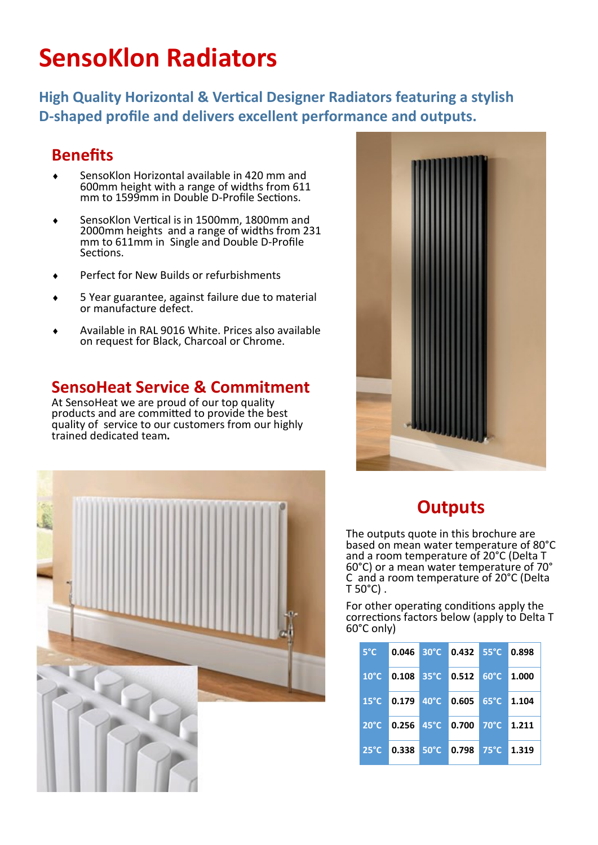### **SensoKlon Radiators**

**High Quality Horizontal & Vertical Designer Radiators featuring a stylish D-shaped profile and delivers excellent performance and outputs.**

#### **Benefits**

- SensoKlon Horizontal available in 420 mm and 600mm height with a range of widths from 611 mm to 1599mm in Double D-Profile Sections.
- ◆ SensoKlon Vertical is in 1500mm, 1800mm and 2000mm heights and a range of widths from 231 mm to 611mm in Single and Double D-Profile Sections.
- Perfect for New Builds or refurbishments
- 5 Year guarantee, against failure due to material or manufacture defect.
- Available in RAL 9016 White. Prices also available on request for Black, Charcoal or Chrome.

#### **SensoHeat Service & Commitment**

At SensoHeat we are proud of our top quality products and are committed to provide the best quality of service to our customers from our highly trained dedicated team**.** 





### **Outputs**

The outputs quote in this brochure are based on mean water temperature of 80°C and a room temperature of 20°C (Delta T 60°C) or a mean water temperature of 70° C and a room temperature of 20°C (Delta  $T 50^{\circ}$ C).

For other operating conditions apply the corrections factors below (apply to Delta T 60°C only)

| $5^{\circ}$ C  | $0.046$ 30 $^{\circ}$ C | $0.432$ 55°C                                         |                | 0.898 |
|----------------|-------------------------|------------------------------------------------------|----------------|-------|
| $10^{\circ}$ C | $ 0.108 35^{\circ}$ C   | $0.512 \ 60^{\circ}$ C                               |                | 1.000 |
| $15^{\circ}$ C | $\overline{0.179}$ 40°C | $0.605$ 65°C                                         |                | 1.104 |
| $20^{\circ}$ C |                         | $\vert 0.256 \vert 45^{\circ}$ C $\vert 0.700 \vert$ | $70^{\circ}$ C | 1.211 |
| $25^{\circ}$ C | $0.338$ 50 $^{\circ}$ C | 0.798                                                | $75^{\circ}$ C | 1.319 |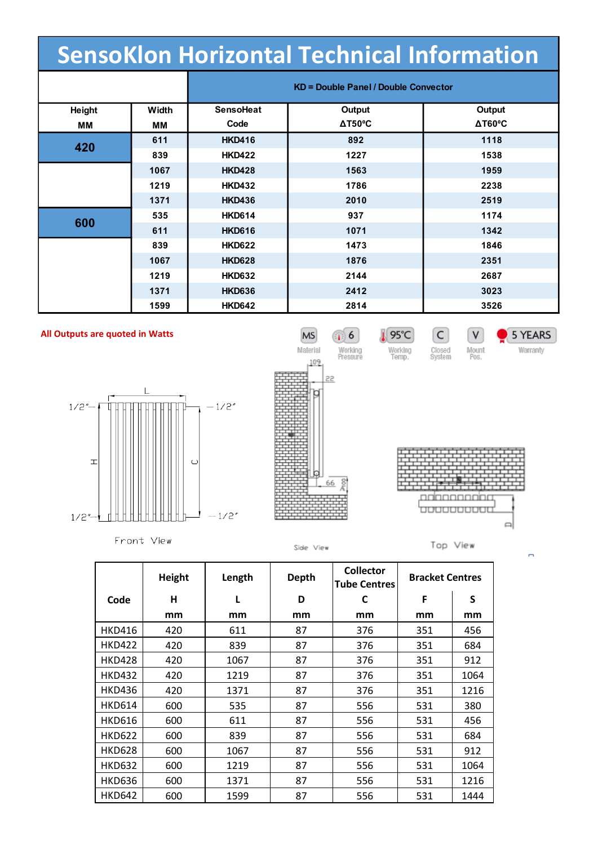| <b>SensoKlon Horizontal Technical Information</b> |       |                                             |                |                       |  |  |
|---------------------------------------------------|-------|---------------------------------------------|----------------|-----------------------|--|--|
|                                                   |       | <b>KD = Double Panel / Double Convector</b> |                |                       |  |  |
| Height                                            | Width | <b>SensoHeat</b>                            | Output         | Output                |  |  |
| MМ                                                | MМ    | Code                                        | $\Delta$ T50°C | $\Delta T60^{\circ}C$ |  |  |
| 420                                               | 611   | <b>HKD416</b>                               | 892            | 1118                  |  |  |
|                                                   | 839   | <b>HKD422</b>                               | 1227           | 1538                  |  |  |
|                                                   | 1067  | <b>HKD428</b>                               | 1563           | 1959                  |  |  |
|                                                   | 1219  | <b>HKD432</b>                               | 1786           | 2238                  |  |  |
|                                                   | 1371  | <b>HKD436</b>                               | 2010           | 2519                  |  |  |
| 600                                               | 535   | <b>HKD614</b>                               | 937            | 1174                  |  |  |
|                                                   | 611   | <b>HKD616</b>                               | 1071           | 1342                  |  |  |
|                                                   | 839   | <b>HKD622</b>                               | 1473           | 1846                  |  |  |
|                                                   | 1067  | <b>HKD628</b>                               | 1876           | 2351                  |  |  |
|                                                   | 1219  | <b>HKD632</b>                               | 2144           | 2687                  |  |  |
|                                                   | 1371  | <b>HKD636</b>                               | 2412           | 3023                  |  |  |
|                                                   | 1599  | <b>HKD642</b>                               | 2814           | 3526                  |  |  |

#### **All Outputs are quoted in Watts**



Front View



Side View



 $\boxed{\mathsf{C}}$ 

Closed<br>System

 $\sqrt{V}$ 

Mount<br>Pos.

195°C

Working<br>Temp.

Top View

|               | Height | Length | Depth | <b>Collector</b><br><b>Tube Centres</b> | <b>Bracket Centres</b> |      |
|---------------|--------|--------|-------|-----------------------------------------|------------------------|------|
| Code          | н      | L      | D     | C                                       | F                      | S    |
|               | mm     | mm     | mm    | mm                                      | mm                     | mm   |
| <b>HKD416</b> | 420    | 611    | 87    | 376                                     | 351                    | 456  |
| <b>HKD422</b> | 420    | 839    | 87    | 376                                     | 351                    | 684  |
| <b>HKD428</b> | 420    | 1067   | 87    | 376                                     | 351                    | 912  |
| <b>HKD432</b> | 420    | 1219   | 87    | 376                                     | 351                    | 1064 |
| <b>HKD436</b> | 420    | 1371   | 87    | 376                                     | 351                    | 1216 |
| <b>HKD614</b> | 600    | 535    | 87    | 556                                     | 531                    | 380  |
| <b>HKD616</b> | 600    | 611    | 87    | 556                                     | 531                    | 456  |
| <b>HKD622</b> | 600    | 839    | 87    | 556                                     | 531                    | 684  |
| <b>HKD628</b> | 600    | 1067   | 87    | 556                                     | 531                    | 912  |
| <b>HKD632</b> | 600    | 1219   | 87    | 556                                     | 531                    | 1064 |
| <b>HKD636</b> | 600    | 1371   | 87    | 556                                     | 531                    | 1216 |
| <b>HKD642</b> | 600    | 1599   | 87    | 556                                     | 531                    | 1444 |

 $\blacksquare$ 

5 YEARS

Warranty